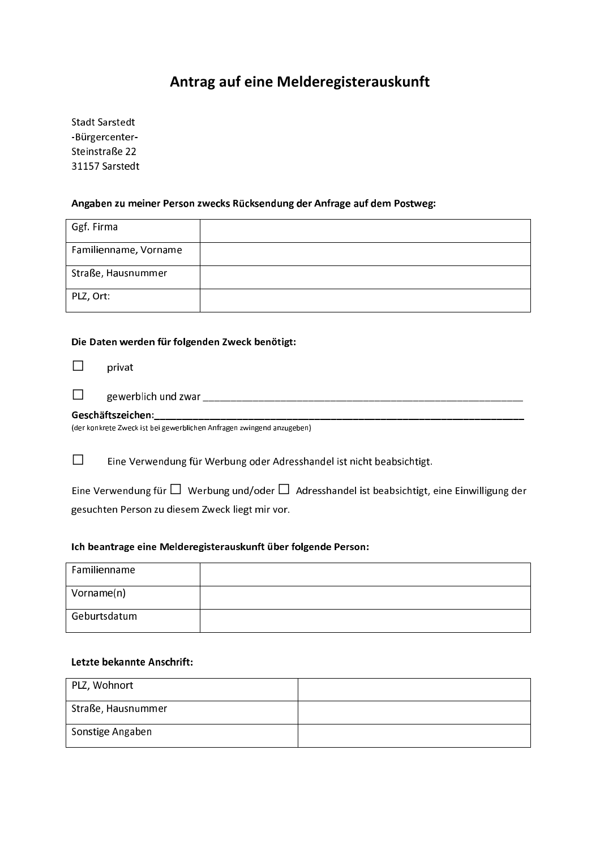# Antrag auf eine Melderegisterauskunft

**Stadt Sarstedt** -Bürgercenter-Steinstraße 22 31157 Sarstedt

#### Angaben zu meiner Person zwecks Rücksendung der Anfrage auf dem Postweg:

| Ggf. Firma            |  |
|-----------------------|--|
| Familienname, Vorname |  |
| Straße, Hausnummer    |  |
| PLZ, Ort:             |  |

#### Die Daten werden für folgenden Zweck benötigt:

 $\Box$ privat

|                                                                       | gewerblich und zwar |  |  |  |
|-----------------------------------------------------------------------|---------------------|--|--|--|
| Geschäftszeichen:                                                     |                     |  |  |  |
| (dar konkrata Zwack ist hai gawarhlichan Anfragan zwingand anzugahan) |                     |  |  |  |

(der konkrete Zweck ist bei gewerblichen Anfragen zwingend anzugeben)

 $\Box$ Eine Verwendung für Werbung oder Adresshandel ist nicht beabsichtigt.

Eine Verwendung für  $\square$  Werbung und/oder  $\square$  Adresshandel ist beabsichtigt, eine Einwilligung der gesuchten Person zu diesem Zweck liegt mir vor.

#### Ich beantrage eine Melderegisterauskunft über folgende Person:

| Familienname |  |
|--------------|--|
| Vorname(n)   |  |
| Geburtsdatum |  |

### Letzte bekannte Anschrift:

| PLZ, Wohnort       |  |
|--------------------|--|
| Straße, Hausnummer |  |
| Sonstige Angaben   |  |